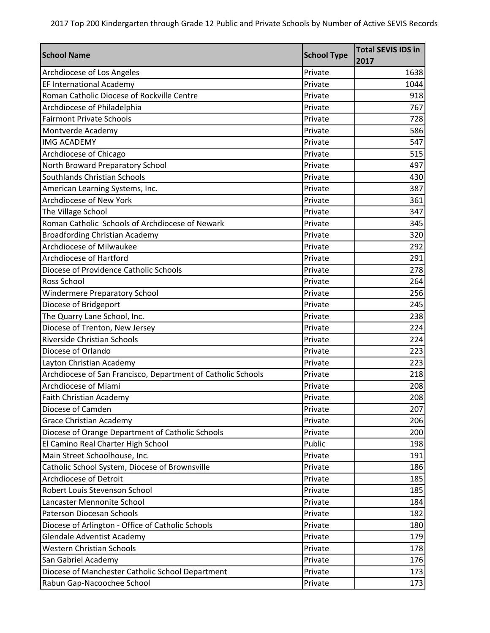| <b>School Name</b>                                           | <b>School Type</b> | <b>Total SEVIS IDS in</b><br>2017 |
|--------------------------------------------------------------|--------------------|-----------------------------------|
| Archdiocese of Los Angeles                                   | Private            | 1638                              |
| EF International Academy                                     | Private            | 1044                              |
| Roman Catholic Diocese of Rockville Centre                   | Private            | 918                               |
| Archdiocese of Philadelphia                                  | Private            | 767                               |
| <b>Fairmont Private Schools</b>                              | Private            | 728                               |
| Montverde Academy                                            | Private            | 586                               |
| <b>IMG ACADEMY</b>                                           | Private            | 547                               |
| Archdiocese of Chicago                                       | Private            | 515                               |
| North Broward Preparatory School                             | Private            | 497                               |
| Southlands Christian Schools                                 | Private            | 430                               |
| American Learning Systems, Inc.                              | Private            | 387                               |
| Archdiocese of New York                                      | Private            | 361                               |
| The Village School                                           | Private            | 347                               |
| Roman Catholic Schools of Archdiocese of Newark              | Private            | 345                               |
| <b>Broadfording Christian Academy</b>                        | Private            | 320                               |
| <b>Archdiocese of Milwaukee</b>                              | Private            | 292                               |
| Archdiocese of Hartford                                      | Private            | 291                               |
| Diocese of Providence Catholic Schools                       | Private            | 278                               |
| Ross School                                                  | Private            | 264                               |
| <b>Windermere Preparatory School</b>                         | Private            | 256                               |
| Diocese of Bridgeport                                        | Private            | 245                               |
| The Quarry Lane School, Inc.                                 | Private            | 238                               |
| Diocese of Trenton, New Jersey                               | Private            | 224                               |
| Riverside Christian Schools                                  | Private            | 224                               |
| Diocese of Orlando                                           | Private            | 223                               |
| Layton Christian Academy                                     | Private            | 223                               |
| Archdiocese of San Francisco, Department of Catholic Schools | Private            | 218                               |
| Archdiocese of Miami                                         | Private            | 208                               |
| <b>Faith Christian Academy</b>                               | Private            | 208                               |
| Diocese of Camden                                            | Private            | 207                               |
| <b>Grace Christian Academy</b>                               | Private            | 206                               |
| Diocese of Orange Department of Catholic Schools             | Private            | 200                               |
| El Camino Real Charter High School                           | Public             | 198                               |
| Main Street Schoolhouse, Inc.                                | Private            | 191                               |
| Catholic School System, Diocese of Brownsville               | Private            | 186                               |
| Archdiocese of Detroit                                       | Private            | 185                               |
| Robert Louis Stevenson School                                | Private            | 185                               |
| Lancaster Mennonite School                                   | Private            | 184                               |
| <b>Paterson Diocesan Schools</b>                             | Private            | 182                               |
| Diocese of Arlington - Office of Catholic Schools            | Private            | 180                               |
| <b>Glendale Adventist Academy</b>                            | Private            | 179                               |
| <b>Western Christian Schools</b>                             | Private            | 178                               |
| San Gabriel Academy                                          | Private            | 176                               |
| Diocese of Manchester Catholic School Department             | Private            | 173                               |
| Rabun Gap-Nacoochee School                                   | Private            | 173                               |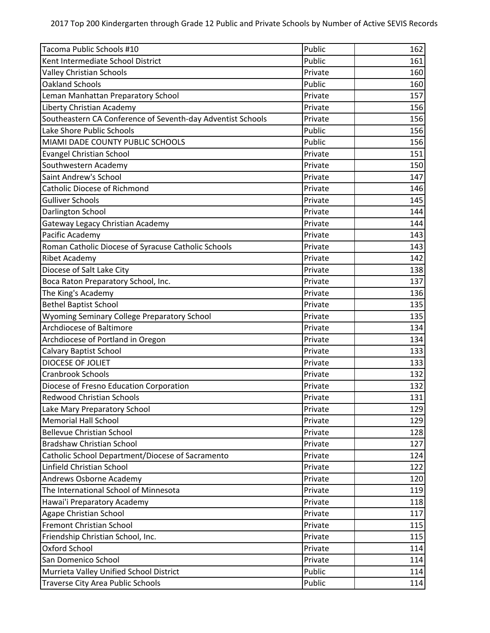| Tacoma Public Schools #10                                   | Public  | 162 |
|-------------------------------------------------------------|---------|-----|
| Kent Intermediate School District                           | Public  | 161 |
| <b>Valley Christian Schools</b>                             | Private | 160 |
| <b>Oakland Schools</b>                                      | Public  | 160 |
| Leman Manhattan Preparatory School                          | Private | 157 |
| Liberty Christian Academy                                   | Private | 156 |
| Southeastern CA Conference of Seventh-day Adventist Schools | Private | 156 |
| Lake Shore Public Schools                                   | Public  | 156 |
| MIAMI DADE COUNTY PUBLIC SCHOOLS                            | Public  | 156 |
| <b>Evangel Christian School</b>                             | Private | 151 |
| Southwestern Academy                                        | Private | 150 |
| Saint Andrew's School                                       | Private | 147 |
| <b>Catholic Diocese of Richmond</b>                         | Private | 146 |
| <b>Gulliver Schools</b>                                     | Private | 145 |
| Darlington School                                           | Private | 144 |
| <b>Gateway Legacy Christian Academy</b>                     | Private | 144 |
| Pacific Academy                                             | Private | 143 |
| Roman Catholic Diocese of Syracuse Catholic Schools         | Private | 143 |
| <b>Ribet Academy</b>                                        | Private | 142 |
| Diocese of Salt Lake City                                   | Private | 138 |
| Boca Raton Preparatory School, Inc.                         | Private | 137 |
| The King's Academy                                          | Private | 136 |
| <b>Bethel Baptist School</b>                                | Private | 135 |
| Wyoming Seminary College Preparatory School                 | Private | 135 |
| Archdiocese of Baltimore                                    | Private | 134 |
| Archdiocese of Portland in Oregon                           | Private | 134 |
| <b>Calvary Baptist School</b>                               | Private | 133 |
| DIOCESE OF JOLIET                                           | Private | 133 |
| <b>Cranbrook Schools</b>                                    | Private | 132 |
| Diocese of Fresno Education Corporation                     | Private | 132 |
| <b>Redwood Christian Schools</b>                            | Private | 131 |
| Lake Mary Preparatory School                                | Private | 129 |
| <b>Memorial Hall School</b>                                 | Private | 129 |
| <b>Bellevue Christian School</b>                            | Private | 128 |
| <b>Bradshaw Christian School</b>                            | Private | 127 |
| Catholic School Department/Diocese of Sacramento            | Private | 124 |
| Linfield Christian School                                   | Private | 122 |
| Andrews Osborne Academy                                     | Private | 120 |
| The International School of Minnesota                       | Private | 119 |
| Hawai'i Preparatory Academy                                 | Private | 118 |
| Agape Christian School                                      | Private | 117 |
| Fremont Christian School                                    | Private | 115 |
| Friendship Christian School, Inc.                           | Private | 115 |
| Oxford School                                               | Private | 114 |
| San Domenico School                                         | Private | 114 |
| Murrieta Valley Unified School District                     | Public  | 114 |
| Traverse City Area Public Schools                           | Public  | 114 |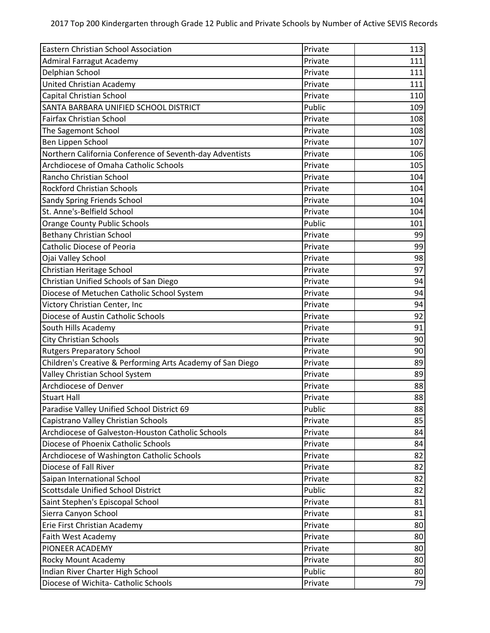| Eastern Christian School Association                       | Private | 113 |
|------------------------------------------------------------|---------|-----|
| <b>Admiral Farragut Academy</b>                            | Private | 111 |
| Delphian School                                            | Private | 111 |
| <b>United Christian Academy</b>                            | Private | 111 |
| Capital Christian School                                   | Private | 110 |
| SANTA BARBARA UNIFIED SCHOOL DISTRICT                      | Public  | 109 |
| <b>Fairfax Christian School</b>                            | Private | 108 |
| The Sagemont School                                        | Private | 108 |
| Ben Lippen School                                          | Private | 107 |
| Northern California Conference of Seventh-day Adventists   | Private | 106 |
| Archdiocese of Omaha Catholic Schools                      | Private | 105 |
| Rancho Christian School                                    | Private | 104 |
| <b>Rockford Christian Schools</b>                          | Private | 104 |
| Sandy Spring Friends School                                | Private | 104 |
| St. Anne's-Belfield School                                 | Private | 104 |
| <b>Orange County Public Schools</b>                        | Public  | 101 |
| <b>Bethany Christian School</b>                            | Private | 99  |
| <b>Catholic Diocese of Peoria</b>                          | Private | 99  |
| Ojai Valley School                                         | Private | 98  |
| Christian Heritage School                                  | Private | 97  |
| Christian Unified Schools of San Diego                     | Private | 94  |
| Diocese of Metuchen Catholic School System                 | Private | 94  |
| Victory Christian Center, Inc                              | Private | 94  |
| Diocese of Austin Catholic Schools                         | Private | 92  |
| South Hills Academy                                        | Private | 91  |
| <b>City Christian Schools</b>                              | Private | 90  |
| <b>Rutgers Preparatory School</b>                          | Private | 90  |
| Children's Creative & Performing Arts Academy of San Diego | Private | 89  |
| Valley Christian School System                             | Private | 89  |
| Archdiocese of Denver                                      | Private | 88  |
| <b>Stuart Hall</b>                                         | Private | 88  |
| Paradise Valley Unified School District 69                 | Public  | 88  |
| Capistrano Valley Christian Schools                        | Private | 85  |
| Archdiocese of Galveston-Houston Catholic Schools          | Private | 84  |
| Diocese of Phoenix Catholic Schools                        | Private | 84  |
| Archdiocese of Washington Catholic Schools                 | Private | 82  |
| Diocese of Fall River                                      | Private | 82  |
| Saipan International School                                | Private | 82  |
| Scottsdale Unified School District                         | Public  | 82  |
| Saint Stephen's Episcopal School                           | Private | 81  |
| Sierra Canyon School                                       | Private | 81  |
| Erie First Christian Academy                               | Private | 80  |
| Faith West Academy                                         | Private | 80  |
| PIONEER ACADEMY                                            | Private | 80  |
| Rocky Mount Academy                                        | Private | 80  |
| Indian River Charter High School                           | Public  | 80  |
| Diocese of Wichita- Catholic Schools                       | Private | 79  |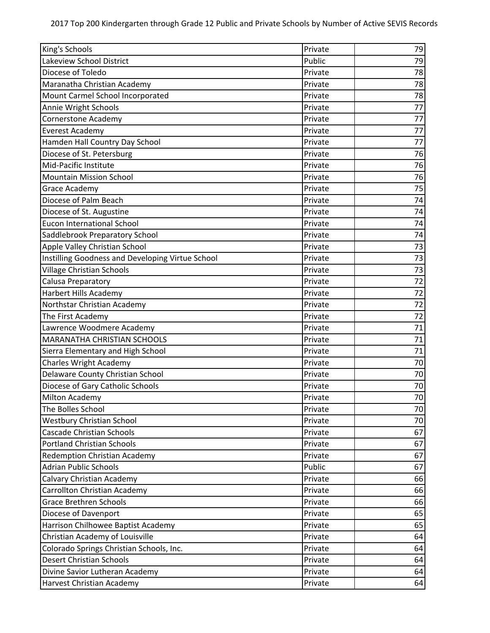| King's Schools                                   | Private | 79 |
|--------------------------------------------------|---------|----|
| Lakeview School District                         | Public  | 79 |
| Diocese of Toledo                                | Private | 78 |
| Maranatha Christian Academy                      | Private | 78 |
| Mount Carmel School Incorporated                 | Private | 78 |
| Annie Wright Schools                             | Private | 77 |
| <b>Cornerstone Academy</b>                       | Private | 77 |
| <b>Everest Academy</b>                           | Private | 77 |
| Hamden Hall Country Day School                   | Private | 77 |
| Diocese of St. Petersburg                        | Private | 76 |
| Mid-Pacific Institute                            | Private | 76 |
| <b>Mountain Mission School</b>                   | Private | 76 |
| Grace Academy                                    | Private | 75 |
| Diocese of Palm Beach                            | Private | 74 |
| Diocese of St. Augustine                         | Private | 74 |
| <b>Eucon International School</b>                | Private | 74 |
| Saddlebrook Preparatory School                   | Private | 74 |
| Apple Valley Christian School                    | Private | 73 |
| Instilling Goodness and Developing Virtue School | Private | 73 |
| <b>Village Christian Schools</b>                 | Private | 73 |
| Calusa Preparatory                               | Private | 72 |
| <b>Harbert Hills Academy</b>                     | Private | 72 |
| Northstar Christian Academy                      | Private | 72 |
| The First Academy                                | Private | 72 |
| Lawrence Woodmere Academy                        | Private | 71 |
| MARANATHA CHRISTIAN SCHOOLS                      | Private | 71 |
| Sierra Elementary and High School                | Private | 71 |
| <b>Charles Wright Academy</b>                    | Private | 70 |
| Delaware County Christian School                 | Private | 70 |
| Diocese of Gary Catholic Schools                 | Private | 70 |
| <b>Milton Academy</b>                            | Private | 70 |
| The Bolles School                                | Private | 70 |
| <b>Westbury Christian School</b>                 | Private | 70 |
| <b>Cascade Christian Schools</b>                 | Private | 67 |
| <b>Portland Christian Schools</b>                | Private | 67 |
| <b>Redemption Christian Academy</b>              | Private | 67 |
| <b>Adrian Public Schools</b>                     | Public  | 67 |
| Calvary Christian Academy                        | Private | 66 |
| Carrollton Christian Academy                     | Private | 66 |
| <b>Grace Brethren Schools</b>                    | Private | 66 |
| Diocese of Davenport                             | Private | 65 |
| Harrison Chilhowee Baptist Academy               | Private | 65 |
| Christian Academy of Louisville                  | Private | 64 |
| Colorado Springs Christian Schools, Inc.         | Private | 64 |
| Desert Christian Schools                         | Private | 64 |
| Divine Savior Lutheran Academy                   | Private | 64 |
| Harvest Christian Academy                        | Private | 64 |